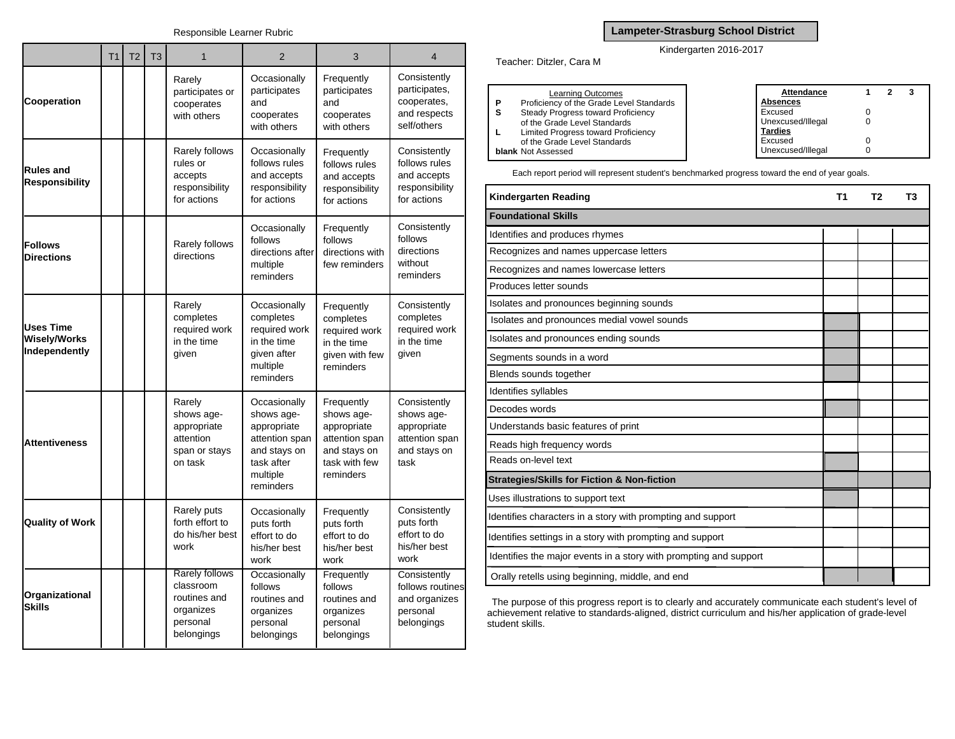|                                                          | T <sub>1</sub> | T <sub>2</sub> | T <sub>3</sub> | 1                                                                                         | $\overline{2}$                                                                                                     | 3                                                                                                       | $\overline{4}$                                                                      |
|----------------------------------------------------------|----------------|----------------|----------------|-------------------------------------------------------------------------------------------|--------------------------------------------------------------------------------------------------------------------|---------------------------------------------------------------------------------------------------------|-------------------------------------------------------------------------------------|
| Cooperation                                              |                |                |                | Rarely<br>participates or<br>cooperates<br>with others                                    | Occasionally<br>participates<br>and<br>cooperates<br>with others                                                   | Frequently<br>participates<br>and<br>cooperates<br>with others                                          | Consistently<br>participates,<br>cooperates,<br>and respects<br>self/others         |
| <b>Rules and</b><br><b>Responsibility</b>                |                |                |                | Rarely follows<br>rules or<br>accepts<br>responsibility<br>for actions                    | Occasionally<br>follows rules<br>and accepts<br>responsibility<br>for actions                                      | Frequently<br>follows rules<br>and accepts<br>responsibility<br>for actions                             | Consistently<br>follows rules<br>and accepts<br>responsibility<br>for actions       |
| <b>Follows</b><br><b>Directions</b>                      |                |                |                | Rarely follows<br>directions                                                              | Occasionally<br>follows<br>directions after<br>multiple<br>reminders                                               | Frequently<br>follows<br>directions with<br>few reminders                                               | Consistently<br>follows<br>directions<br>without<br>reminders                       |
| <b>Uses Time</b><br><b>Wisely/Works</b><br>Independently |                |                |                | Rarely<br>completes<br>required work<br>in the time<br>given                              | Occasionally<br>completes<br>required work<br>in the time<br>given after<br>multiple<br>reminders                  | Frequently<br>completes<br>required work<br>in the time<br>given with few<br>reminders                  | Consistently<br>completes<br>required work<br>in the time<br>given                  |
| <b>Attentiveness</b>                                     |                |                |                | Rarely<br>shows age-<br>appropriate<br>attention<br>span or stays<br>on task              | Occasionally<br>shows age-<br>appropriate<br>attention span<br>and stays on<br>task after<br>multiple<br>reminders | Frequently<br>shows age-<br>appropriate<br>attention span<br>and stays on<br>task with few<br>reminders | Consistently<br>shows age-<br>appropriate<br>attention span<br>and stays on<br>task |
| <b>Quality of Work</b>                                   |                |                |                | Rarely puts<br>forth effort to<br>do his/her best<br>work                                 | Occasionally<br>puts forth<br>effort to do<br>his/her best<br>work                                                 | Frequently<br>puts forth<br>effort to do<br>his/her best<br>work                                        | Consistently<br>puts forth<br>effort to do<br>his/her best<br>work                  |
| Organizational<br><b>Skills</b>                          |                |                |                | <b>Rarely follows</b><br>classroom<br>routines and<br>organizes<br>personal<br>belongings | Occasionally<br>follows<br>routines and<br>organizes<br>personal<br>belongings                                     | Frequently<br>follows<br>routines and<br>organizes<br>personal<br>belongings                            | Consistently<br>follows routines<br>and organizes<br>personal<br>belongings         |

## **Lampeter-Strasburg School District**

## Kindergarten 2016-2017

Teacher: Ditzler, Cara M

|    | <b>Learning Outcomes</b>                 | Attendance        |  |  |
|----|------------------------------------------|-------------------|--|--|
| P  | Proficiency of the Grade Level Standards | Absences          |  |  |
| -S | Steady Progress toward Proficiency       | Excused           |  |  |
|    | of the Grade Level Standards             | Unexcused/Illegal |  |  |
|    | Limited Progress toward Proficiency      | <b>Tardies</b>    |  |  |
|    | of the Grade Level Standards             | Excused           |  |  |
|    | <b>blank</b> Not Assessed                | Unexcused/Illegal |  |  |

Each report period will represent student's benchmarked progress toward the end of year goals.

| Kindergarten Reading                                              | Τ1 | T2 | Т3 |
|-------------------------------------------------------------------|----|----|----|
| <b>Foundational Skills</b>                                        |    |    |    |
| Identifies and produces rhymes                                    |    |    |    |
| Recognizes and names uppercase letters                            |    |    |    |
| Recognizes and names lowercase letters                            |    |    |    |
| Produces letter sounds                                            |    |    |    |
| Isolates and pronounces beginning sounds                          |    |    |    |
| Isolates and pronounces medial vowel sounds                       |    |    |    |
| Isolates and pronounces ending sounds                             |    |    |    |
| Segments sounds in a word                                         |    |    |    |
| Blends sounds together                                            |    |    |    |
| Identifies syllables                                              |    |    |    |
| Decodes words                                                     |    |    |    |
| Understands basic features of print                               |    |    |    |
| Reads high frequency words                                        |    |    |    |
| Reads on-level text                                               |    |    |    |
| <b>Strategies/Skills for Fiction &amp; Non-fiction</b>            |    |    |    |
| Uses illustrations to support text                                |    |    |    |
| Identifies characters in a story with prompting and support       |    |    |    |
| Identifies settings in a story with prompting and support         |    |    |    |
| Identifies the major events in a story with prompting and support |    |    |    |
| Orally retells using beginning, middle, and end                   |    |    |    |

The purpose of this progress report is to clearly and accurately communicate each student's level of achievement relative to standards-aligned, district curriculum and his/her application of grade-level student skills.